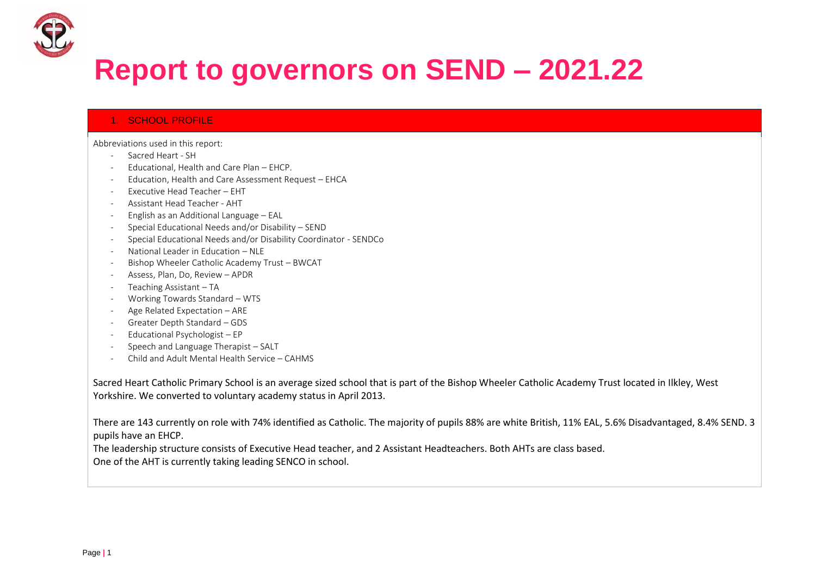

# **Report to governors on SEND – 2021.22**

## 1. SCHOOL PROFILE

Abbreviations used in this report:

- Sacred Heart SH
- Educational, Health and Care Plan EHCP.
- Education, Health and Care Assessment Request EHCA
- Executive Head Teacher EHT
- Assistant Head Teacher AHT
- English as an Additional Language EAL
- Special Educational Needs and/or Disability SEND
- Special Educational Needs and/or Disability Coordinator SENDCo
- National Leader in Education NLE
- Bishop Wheeler Catholic Academy Trust BWCAT
- Assess, Plan, Do, Review APDR
- Teaching Assistant TA
- Working Towards Standard WTS
- Age Related Expectation ARE
- Greater Depth Standard GDS
- Educational Psychologist EP
- Speech and Language Therapist SALT
- Child and Adult Mental Health Service CAHMS

Sacred Heart Catholic Primary School is an average sized school that is part of the Bishop Wheeler Catholic Academy Trust located in Ilkley, West Yorkshire. We converted to voluntary academy status in April 2013.

There are 143 currently on role with 74% identified as Catholic. The majority of pupils 88% are white British, 11% EAL, 5.6% Disadvantaged, 8.4% SEND. 3 pupils have an EHCP.

The leadership structure consists of Executive Head teacher, and 2 Assistant Headteachers. Both AHTs are class based. One of the AHT is currently taking leading SENCO in school.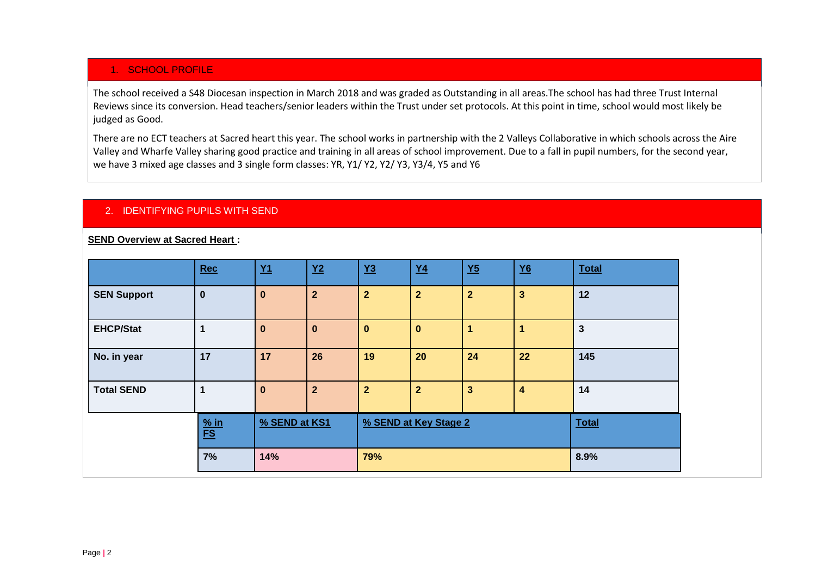# 1. SCHOOL PROFILE

The school received a S48 Diocesan inspection in March 2018 and was graded as Outstanding in all areas.The school has had three Trust Internal Reviews since its conversion. Head teachers/senior leaders within the Trust under set protocols. At this point in time, school would most likely be judged as Good.

There are no ECT teachers at Sacred heart this year. The school works in partnership with the 2 Valleys Collaborative in which schools across the Aire Valley and Wharfe Valley sharing good practice and training in all areas of school improvement. Due to a fall in pupil numbers, for the second year, we have 3 mixed age classes and 3 single form classes: YR, Y1/ Y2, Y2/ Y3, Y3/4, Y5 and Y6

## 2. IDENTIFYING PUPILS WITH SEND

#### **SEND Overview at Sacred Heart :**

|                    | Rec                               | $Y1$          | $Y2$           | $Y3$           | $Y4$                  | $Y5$                    | $Y6$                    | <b>Total</b>   |
|--------------------|-----------------------------------|---------------|----------------|----------------|-----------------------|-------------------------|-------------------------|----------------|
| <b>SEN Support</b> | $\bf{0}$                          | $\bf{0}$      | $\overline{2}$ | $\overline{2}$ | $\overline{2}$        | $\overline{2}$          | $\overline{\mathbf{3}}$ | 12             |
| <b>EHCP/Stat</b>   |                                   | $\bf{0}$      | $\bf{0}$       | $\mathbf{0}$   | $\mathbf{0}$          |                         |                         | $\overline{3}$ |
| No. in year        | 17                                | 17            | 26             | 19             | 20                    | 24                      | 22                      | 145            |
| <b>Total SEND</b>  |                                   | $\bf{0}$      | $\overline{2}$ | $\mathbf{2}$   | $\overline{2}$        | $\overline{\mathbf{3}}$ | 4                       | 14             |
|                    | $\frac{\% \text{ in}}{\text{FS}}$ | % SEND at KS1 |                |                | % SEND at Key Stage 2 | <b>Total</b>            |                         |                |
|                    | 7%                                | 14%           |                | 79%            |                       |                         |                         | 8.9%           |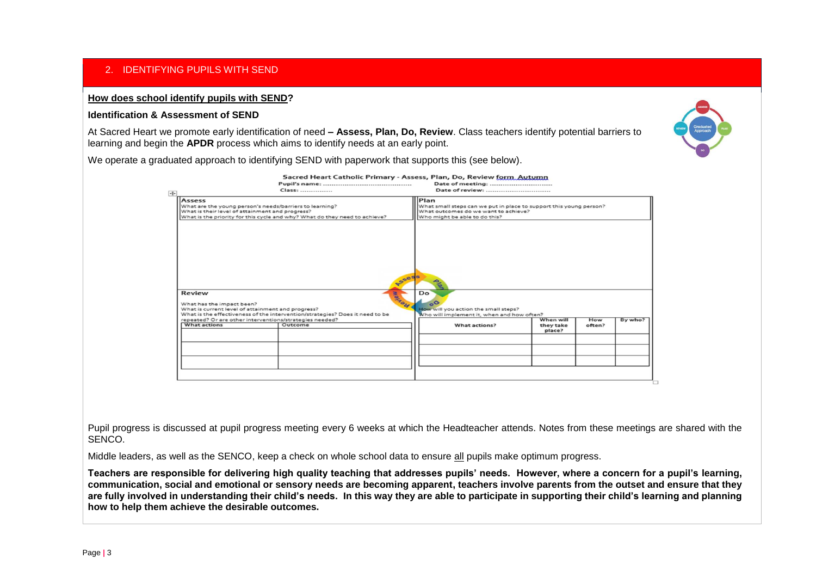# 2. IDENTIFYING PUPILS WITH SEND

### **How does school identify pupils with SEND?**

#### **Identification & Assessment of SEND**

At Sacred Heart we promote early identification of need **– Assess, Plan, Do, Review**. Class teachers identify potential barriers to learning and begin the **APDR** process which aims to identify needs at an early point.



We operate a graduated approach to identifying SEND with paperwork that supports this (see below).

|                                                                                                                                                                                                    |              | Date of meeting:                                                                                                                                    |                                  |               |         |  |  |  |
|----------------------------------------------------------------------------------------------------------------------------------------------------------------------------------------------------|--------------|-----------------------------------------------------------------------------------------------------------------------------------------------------|----------------------------------|---------------|---------|--|--|--|
|                                                                                                                                                                                                    | Class:       | Date of review:                                                                                                                                     |                                  |               |         |  |  |  |
| Assess<br>What are the young person's needs/barriers to learning?<br>What is their level of attainment and progress?<br>What is the priority for this cycle and why? What do they need to achieve? |              | Plan<br>What small steps can we put in place to support this young person?<br>What outcomes do we want to achieve?<br>Who might be able to do this? |                                  |               |         |  |  |  |
|                                                                                                                                                                                                    |              |                                                                                                                                                     |                                  |               |         |  |  |  |
|                                                                                                                                                                                                    | PSSER        | <b>PLAN</b>                                                                                                                                         |                                  |               |         |  |  |  |
|                                                                                                                                                                                                    |              | Do<br>$\sim$                                                                                                                                        |                                  |               |         |  |  |  |
|                                                                                                                                                                                                    | <b>Bonda</b> | How will you action the small steps?                                                                                                                |                                  |               |         |  |  |  |
| Review<br>What has the impact been?<br>What is current level of attainment and progress?<br>What is the effectiveness of the intervention/strategies? Does it need to be                           |              | Who will implement it, when and how often?                                                                                                          |                                  |               |         |  |  |  |
| repeated? Or are other interventions/strategies needed?<br><b>What actions</b>                                                                                                                     | Outcome      | What actions?                                                                                                                                       | When will<br>they take<br>place? | How<br>often? | By who? |  |  |  |
|                                                                                                                                                                                                    |              |                                                                                                                                                     |                                  |               |         |  |  |  |
|                                                                                                                                                                                                    |              |                                                                                                                                                     |                                  |               |         |  |  |  |
|                                                                                                                                                                                                    |              |                                                                                                                                                     |                                  |               |         |  |  |  |

Pupil progress is discussed at pupil progress meeting every 6 weeks at which the Headteacher attends. Notes from these meetings are shared with the SENCO.

Middle leaders, as well as the SENCO, keep a check on whole school data to ensure all pupils make optimum progress.

**Teachers are responsible for delivering high quality teaching that addresses pupils' needs. However, where a concern for a pupil's learning, communication, social and emotional or sensory needs are becoming apparent, teachers involve parents from the outset and ensure that they are fully involved in understanding their child's needs. In this way they are able to participate in supporting their child's learning and planning how to help them achieve the desirable outcomes.**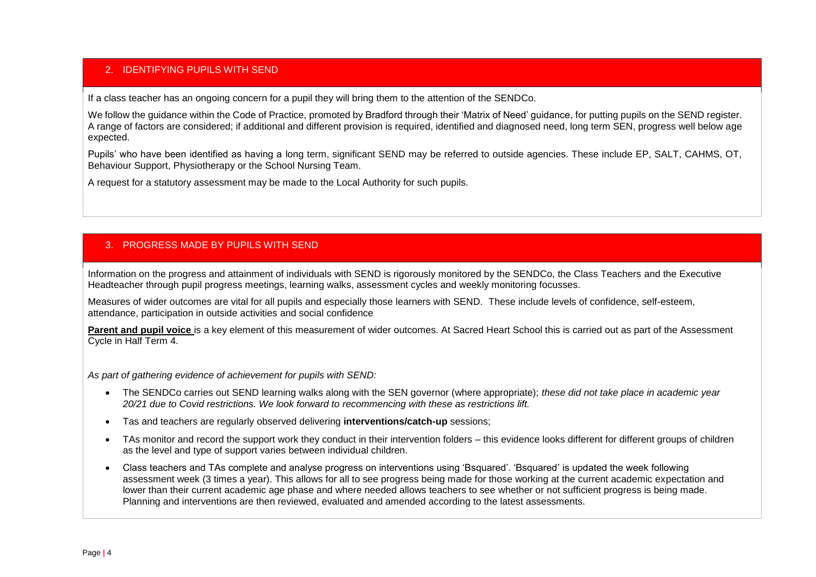## 2. IDENTIFYING PUPILS WITH SEND

If a class teacher has an ongoing concern for a pupil they will bring them to the attention of the SENDCo.

We follow the guidance within the Code of Practice, promoted by Bradford through their 'Matrix of Need' guidance, for putting pupils on the SEND register. A range of factors are considered; if additional and different provision is required, identified and diagnosed need, long term SEN, progress well below age expected.

Pupils' who have been identified as having a long term, significant SEND may be referred to outside agencies. These include EP, SALT, CAHMS, OT, Behaviour Support, Physiotherapy or the School Nursing Team.

A request for a statutory assessment may be made to the Local Authority for such pupils.

# 3. PROGRESS MADE BY PUPILS WITH SEND

Information on the progress and attainment of individuals with SEND is rigorously monitored by the SENDCo, the Class Teachers and the Executive Headteacher through pupil progress meetings, learning walks, assessment cycles and weekly monitoring focusses.

Measures of wider outcomes are vital for all pupils and especially those learners with SEND. These include levels of confidence, self-esteem, attendance, participation in outside activities and social confidence

Parent and pupil voice is a key element of this measurement of wider outcomes. At Sacred Heart School this is carried out as part of the Assessment Cycle in Half Term 4.

*As part of gathering evidence of achievement for pupils with SEND:*

- The SENDCo carries out SEND learning walks along with the SEN governor (where appropriate); *these did not take place in academic year 20/21 due to Covid restrictions. We look forward to recommencing with these as restrictions lift.*
- Tas and teachers are regularly observed delivering **interventions/catch-up** sessions;
- TAs monitor and record the support work they conduct in their intervention folders this evidence looks different for different groups of children as the level and type of support varies between individual children.
- Class teachers and TAs complete and analyse progress on interventions using 'Bsquared'. 'Bsquared' is updated the week following assessment week (3 times a year). This allows for all to see progress being made for those working at the current academic expectation and lower than their current academic age phase and where needed allows teachers to see whether or not sufficient progress is being made. Planning and interventions are then reviewed, evaluated and amended according to the latest assessments.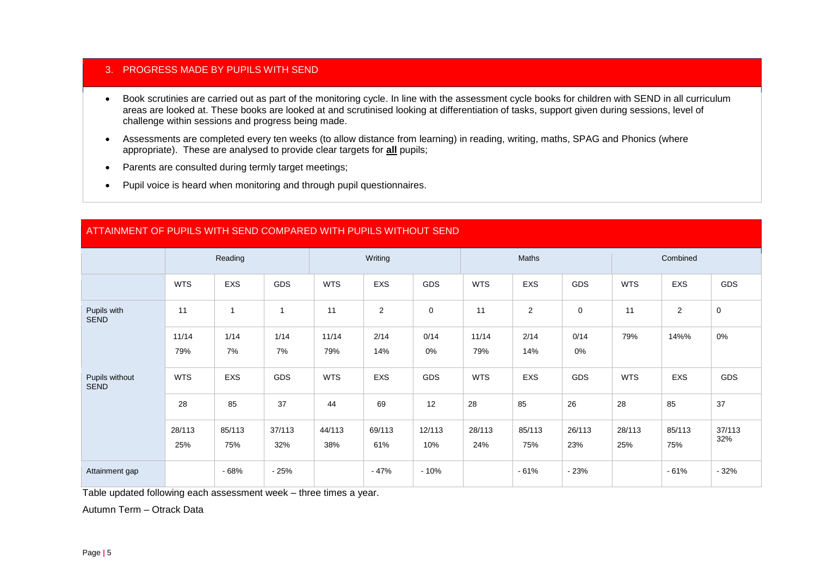## 3. PROGRESS MADE BY PUPILS WITH SEND

- Book scrutinies are carried out as part of the monitoring cycle. In line with the assessment cycle books for children with SEND in all curriculum areas are looked at. These books are looked at and scrutinised looking at differentiation of tasks, support given during sessions, level of challenge within sessions and progress being made.
- Assessments are completed every ten weeks (to allow distance from learning) in reading, writing, maths, SPAG and Phonics (where appropriate). These are analysed to provide clear targets for **all** pupils;
- Parents are consulted during termly target meetings;
- Pupil voice is heard when monitoring and through pupil questionnaires.

# ATTAINMENT OF PUPILS WITH SEND COMPARED WITH PUPILS WITHOUT SEND

|                               | Reading    |            | Writing        |            |                | <b>Maths</b> |            |                | Combined    |            |                |               |
|-------------------------------|------------|------------|----------------|------------|----------------|--------------|------------|----------------|-------------|------------|----------------|---------------|
|                               | <b>WTS</b> | EXS        | GDS            | <b>WTS</b> | EXS            | GDS          | <b>WTS</b> | EXS            | GDS         | <b>WTS</b> | EXS            | GDS           |
| Pupils with<br><b>SEND</b>    | 11         | 1          | $\overline{ }$ | 11         | $\overline{2}$ | $\mathbf 0$  | 11         | $\overline{2}$ | $\mathbf 0$ | 11         | $\overline{2}$ | $\mathbf 0$   |
|                               | 11/14      | 1/14       | 1/14           | 11/14      | 2/14           | 0/14         | 11/14      | 2/14           | 0/14        | 79%        | 14%%           | 0%            |
|                               | 79%        | 7%         | 7%             | 79%        | 14%            | 0%           | 79%        | 14%            | $0\%$       |            |                |               |
| Pupils without<br><b>SEND</b> | <b>WTS</b> | <b>EXS</b> | GDS            | <b>WTS</b> | EXS            | GDS          | <b>WTS</b> | EXS            | GDS         | <b>WTS</b> | EXS            | GDS           |
|                               | 28         | 85         | 37             | 44         | 69             | 12           | 28         | 85             | 26          | 28         | 85             | 37            |
|                               | 28/113     | 85/113     | 37/113         | 44/113     | 69/113         | 12/113       | 28/113     | 85/113         | 26/113      | 28/113     | 85/113         | 37/113<br>32% |
|                               | 25%        | 75%        | 32%            | 38%        | 61%            | 10%          | 24%        | 75%            | 23%         | 25%        | 75%            |               |
| Attainment gap                |            | - 68%      | $-25%$         |            | $-47%$         | $-10%$       |            | $-61%$         | $-23%$      |            | $-61%$         | $-32%$        |

Table updated following each assessment week – three times a year.

Autumn Term – Otrack Data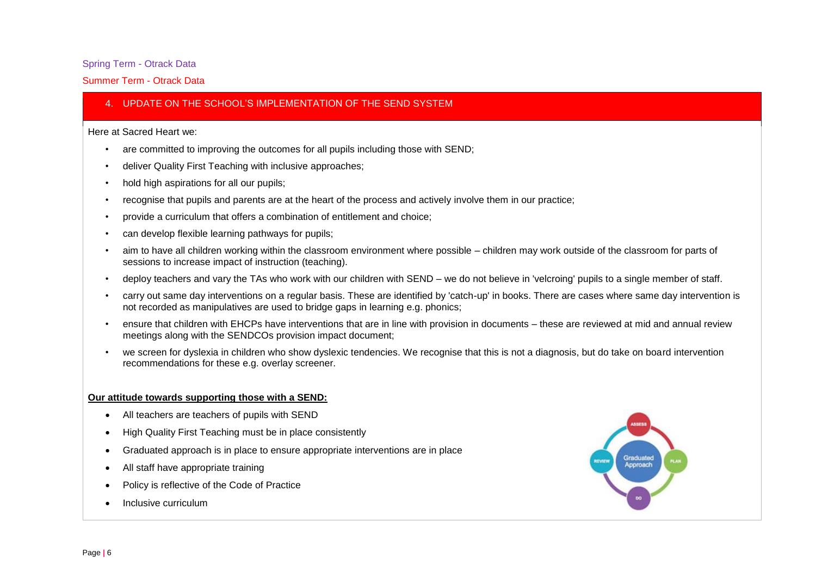### Spring Term - Otrack Data

#### Summer Term - Otrack Data

## 4. UPDATE ON THE SCHOOL'S IMPLEMENTATION OF THE SEND SYSTEM

#### Here at Sacred Heart we:

- are committed to improving the outcomes for all pupils including those with SEND;
- deliver Quality First Teaching with inclusive approaches;
- hold high aspirations for all our pupils;
- recognise that pupils and parents are at the heart of the process and actively involve them in our practice;
- provide a curriculum that offers a combination of entitlement and choice;
- can develop flexible learning pathways for pupils;
- aim to have all children working within the classroom environment where possible children may work outside of the classroom for parts of sessions to increase impact of instruction (teaching).
- deploy teachers and vary the TAs who work with our children with SEND we do not believe in 'velcroing' pupils to a single member of staff.
- carry out same day interventions on a regular basis. These are identified by 'catch-up' in books. There are cases where same day intervention is not recorded as manipulatives are used to bridge gaps in learning e.g. phonics;
- ensure that children with EHCPs have interventions that are in line with provision in documents these are reviewed at mid and annual review meetings along with the SENDCOs provision impact document;
- we screen for dyslexia in children who show dyslexic tendencies. We recognise that this is not a diagnosis, but do take on board intervention recommendations for these e.g. overlay screener.

#### **Our attitude towards supporting those with a SEND:**

- All teachers are teachers of pupils with SEND
- High Quality First Teaching must be in place consistently
- Graduated approach is in place to ensure appropriate interventions are in place
- All staff have appropriate training
- Policy is reflective of the Code of Practice
- Inclusive curriculum

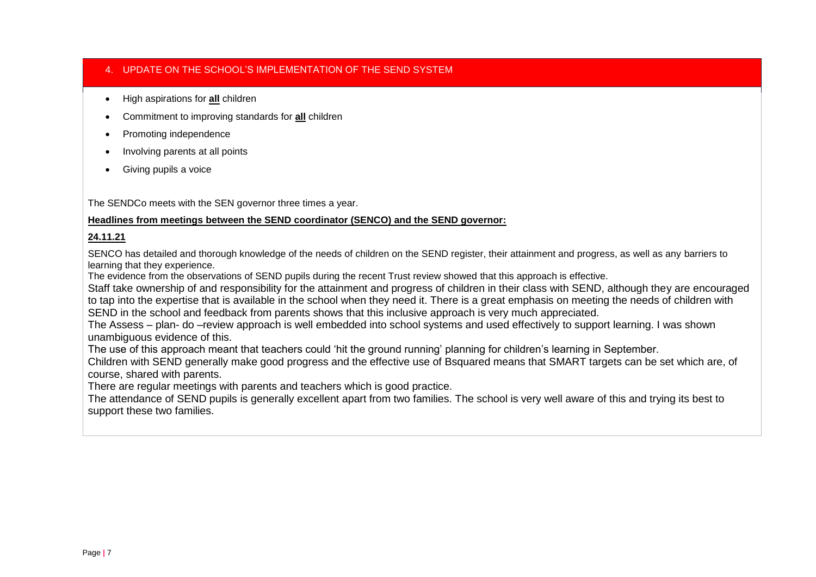## 4. UPDATE ON THE SCHOOL'S IMPLEMENTATION OF THE SEND SYSTEM

- High aspirations for **all** children
- Commitment to improving standards for **all** children
- Promoting independence
- Involving parents at all points
- Giving pupils a voice

The SENDCo meets with the SEN governor three times a year.

## **Headlines from meetings between the SEND coordinator (SENCO) and the SEND governor:**

## **24.11.21**

SENCO has detailed and thorough knowledge of the needs of children on the SEND register, their attainment and progress, as well as any barriers to learning that they experience.

The evidence from the observations of SEND pupils during the recent Trust review showed that this approach is effective.

Staff take ownership of and responsibility for the attainment and progress of children in their class with SEND, although they are encouraged to tap into the expertise that is available in the school when they need it. There is a great emphasis on meeting the needs of children with SEND in the school and feedback from parents shows that this inclusive approach is very much appreciated.

The Assess – plan- do –review approach is well embedded into school systems and used effectively to support learning. I was shown unambiguous evidence of this.

The use of this approach meant that teachers could 'hit the ground running' planning for children's learning in September.

Children with SEND generally make good progress and the effective use of Bsquared means that SMART targets can be set which are, of course, shared with parents.

There are regular meetings with parents and teachers which is good practice.

The attendance of SEND pupils is generally excellent apart from two families. The school is very well aware of this and trying its best to support these two families.